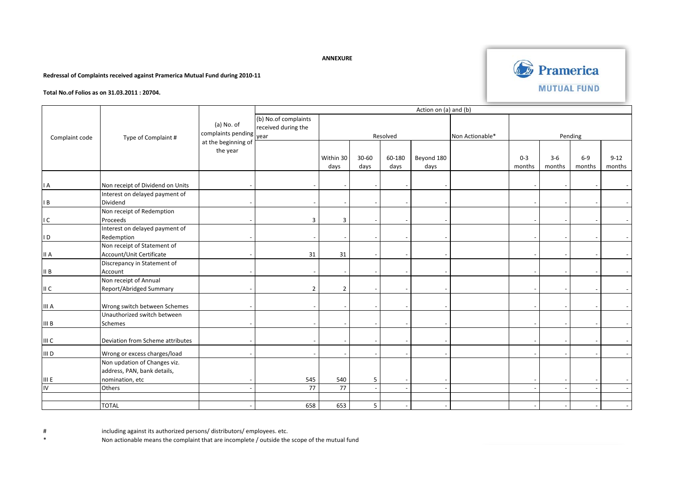## **ANNEXURE**

## **Redressal of Complaints received against Pramerica Mutual Fund during 2010-11**



**Total No.of Folios as on 31.03.2011 : 20704.**

|                | Type of Complaint #              | $(a)$ No. of<br>complaints pending<br>at the beginning of | Action on (a) and (b) |                |           |        |                 |         |         |        |         |          |  |
|----------------|----------------------------------|-----------------------------------------------------------|-----------------------|----------------|-----------|--------|-----------------|---------|---------|--------|---------|----------|--|
| Complaint code |                                  |                                                           | (b) No.of complaints  |                |           |        |                 |         |         |        |         |          |  |
|                |                                  |                                                           | received during the   |                |           |        |                 |         |         |        |         |          |  |
|                |                                  |                                                           | vear                  | Resolved       |           |        | Non Actionable* | Pending |         |        |         |          |  |
|                |                                  |                                                           |                       |                |           |        |                 |         |         |        |         |          |  |
|                |                                  | the year                                                  |                       |                | $30 - 60$ |        |                 |         | $0 - 3$ | $3-6$  | $6 - 9$ | $9 - 12$ |  |
|                |                                  |                                                           |                       | Within 30      |           | 60-180 | Beyond 180      |         |         |        |         |          |  |
|                |                                  |                                                           |                       | days           | days      | days   | days            |         | months  | months | months  | months   |  |
|                |                                  |                                                           |                       |                |           |        |                 |         |         |        |         |          |  |
| I A            | Non receipt of Dividend on Units |                                                           |                       |                |           |        |                 |         |         |        |         |          |  |
|                | Interest on delayed payment of   |                                                           |                       |                |           |        |                 |         |         |        |         |          |  |
| I B            | Dividend                         |                                                           |                       |                |           |        |                 |         |         |        |         |          |  |
|                | Non receipt of Redemption        |                                                           |                       |                |           |        |                 |         |         |        |         |          |  |
| ١C             | Proceeds                         |                                                           | 3                     | 3              |           |        |                 |         |         |        |         |          |  |
|                | Interest on delayed payment of   |                                                           |                       |                |           |        |                 |         |         |        |         |          |  |
| I D            | Redemption                       |                                                           |                       |                |           |        |                 |         |         |        |         |          |  |
|                | Non receipt of Statement of      |                                                           |                       |                |           |        |                 |         |         |        |         |          |  |
| II A           | Account/Unit Certificate         |                                                           | 31                    | 31             |           |        |                 |         |         |        |         |          |  |
|                | Discrepancy in Statement of      |                                                           |                       |                |           |        |                 |         |         |        |         |          |  |
| II B           | Account                          |                                                           |                       |                |           |        |                 |         |         |        |         |          |  |
|                | Non receipt of Annual            |                                                           |                       |                |           |        |                 |         |         |        |         |          |  |
| II C           | Report/Abridged Summary          |                                                           | $\overline{2}$        | $\overline{2}$ |           |        |                 |         |         |        |         |          |  |
|                |                                  |                                                           |                       |                |           |        |                 |         |         |        |         |          |  |
| III A          | Wrong switch between Schemes     |                                                           |                       |                |           |        |                 |         |         |        |         |          |  |
|                | Unauthorized switch between      |                                                           |                       |                |           |        |                 |         |         |        |         |          |  |
| III B          | Schemes                          |                                                           |                       |                |           |        |                 |         |         |        |         |          |  |
|                |                                  |                                                           |                       |                |           |        |                 |         |         |        |         |          |  |
| III C          | Deviation from Scheme attributes |                                                           |                       |                |           |        |                 |         |         |        |         |          |  |
| III D          | Wrong or excess charges/load     |                                                           |                       |                |           |        |                 |         |         |        |         |          |  |
|                | Non updation of Changes viz.     |                                                           |                       |                |           |        |                 |         |         |        |         |          |  |
|                | address, PAN, bank details,      |                                                           |                       |                |           |        |                 |         |         |        |         |          |  |
| III E          | nomination, etc                  |                                                           | 545                   | 540            | 5         |        |                 |         |         |        |         |          |  |
| IV             | Others                           |                                                           | 77                    | 77             | $\sim$    |        |                 |         |         |        |         |          |  |
|                |                                  |                                                           |                       |                |           |        |                 |         |         |        |         |          |  |
|                | <b>TOTAL</b>                     |                                                           | 658                   | 653            | 5         |        |                 |         |         |        |         |          |  |

# including against its authorized persons/ distributors/ employees. etc.

Non actionable means the complaint that are incomplete / outside the scope of the mutual fund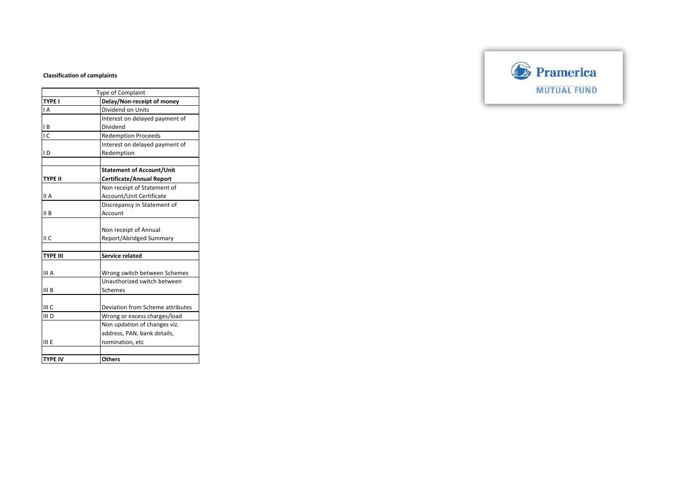## **Classification of complaints**

|                 | Type of Complaint                |
|-----------------|----------------------------------|
| <b>TYPE I</b>   | Delay/Non-receipt of money       |
| IA              | Dividend on Units                |
|                 | Interest on delayed payment of   |
| IB              | Dividend                         |
| LC              | <b>Redemption Proceeds</b>       |
|                 | Interest on delayed payment of   |
| ID              | Redemption                       |
|                 |                                  |
|                 | <b>Statement of Account/Unit</b> |
| <b>TYPE II</b>  | <b>Certificate/Annual Report</b> |
|                 | Non receipt of Statement of      |
| II A            | Account/Unit Certificate         |
|                 | Discrepancy in Statement of      |
| II B            | Account                          |
|                 |                                  |
|                 | Non receipt of Annual            |
| II C            | Report/Abridged Summary          |
|                 |                                  |
| <b>TYPE III</b> | <b>Service related</b>           |
|                 |                                  |
| III A           | Wrong switch between Schemes     |
|                 | Unauthorized switch between      |
| III B           | Schemes                          |
|                 |                                  |
| III C           | Deviation from Scheme attributes |
| III D           | Wrong or excess charges/load     |
|                 | Non updation of changes viz.     |
|                 | address, PAN, bank details,      |
| III E           | nomination, etc                  |
|                 |                                  |
| <b>TYPE IV</b>  | <b>Others</b>                    |